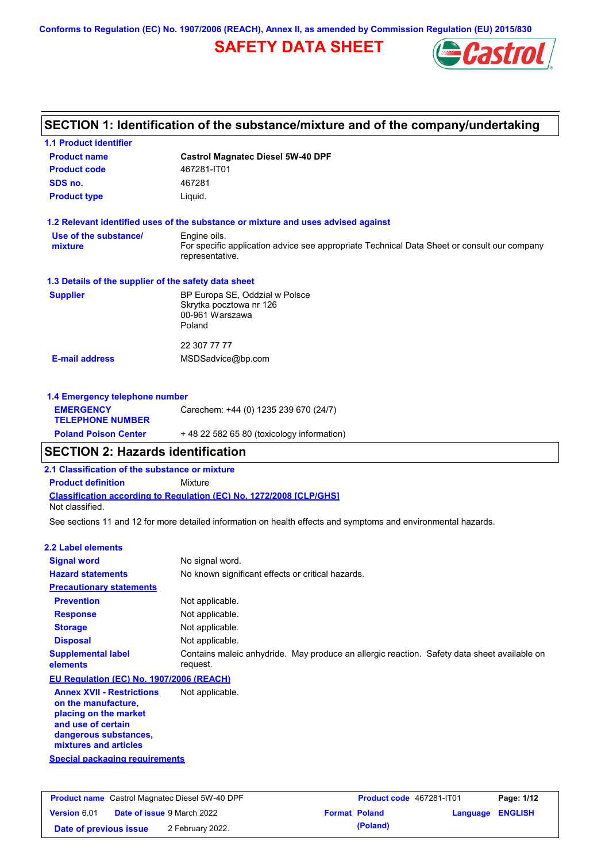**Conforms to Regulation (EC) No. 1907/2006 (REACH), Annex II, as amended by Commission Regulation (EU) 2015/830**

# **SAFETY DATA SHEET**



## **SECTION 1: Identification of the substance/mixture and of the company/undertaking**

| <b>1.1 Product identifier</b>                        |                                                                                                                |
|------------------------------------------------------|----------------------------------------------------------------------------------------------------------------|
| <b>Product name</b>                                  | <b>Castrol Magnatec Diesel 5W-40 DPF</b>                                                                       |
| <b>Product code</b>                                  | 467281-IT01                                                                                                    |
| SDS no.                                              | 467281                                                                                                         |
| <b>Product type</b>                                  | Liquid.                                                                                                        |
|                                                      | 1.2 Relevant identified uses of the substance or mixture and uses advised against                              |
| Use of the substance/                                | Engine oils.                                                                                                   |
| mixture                                              | For specific application advice see appropriate Technical Data Sheet or consult our company<br>representative. |
| 1.3 Details of the supplier of the safety data sheet |                                                                                                                |
| <b>Supplier</b>                                      | BP Europa SE, Oddział w Polsce<br>Skrytka pocztowa nr 126<br>00-961 Warszawa<br>Poland                         |
|                                                      | 22 307 77 77                                                                                                   |
| <b>E-mail address</b>                                | MSDSadvice@bp.com                                                                                              |
| 1.4 Emergency telephone number                       |                                                                                                                |
| <b>EMERGENCY</b><br><b>TELEPHONE NUMBER</b>          | Carechem: +44 (0) 1235 239 670 (24/7)                                                                          |
| <b>Poland Poison Center</b>                          | +48 22 582 65 80 (toxicology information)                                                                      |

## **SECTION 2: Hazards identification**

**2.1 Classification of the substance or mixture**

**Product definition** Mixture

**Classification according to Regulation (EC) No. 1272/2008 [CLP/GHS]** Not classified.

See sections 11 and 12 for more detailed information on health effects and symptoms and environmental hazards.

#### **2.2 Label elements**

| <b>Signal word</b>                                                                                                                                       | No signal word.                                                                                         |
|----------------------------------------------------------------------------------------------------------------------------------------------------------|---------------------------------------------------------------------------------------------------------|
| <b>Hazard statements</b>                                                                                                                                 | No known significant effects or critical hazards.                                                       |
| <b>Precautionary statements</b>                                                                                                                          |                                                                                                         |
| <b>Prevention</b>                                                                                                                                        | Not applicable.                                                                                         |
| <b>Response</b>                                                                                                                                          | Not applicable.                                                                                         |
| <b>Storage</b>                                                                                                                                           | Not applicable.                                                                                         |
| <b>Disposal</b>                                                                                                                                          | Not applicable.                                                                                         |
| <b>Supplemental label</b><br>elements                                                                                                                    | Contains maleic anhydride. May produce an allergic reaction. Safety data sheet available on<br>request. |
| EU Regulation (EC) No. 1907/2006 (REACH)                                                                                                                 |                                                                                                         |
| <b>Annex XVII - Restrictions</b><br>on the manufacture,<br>placing on the market<br>and use of certain<br>dangerous substances,<br>mixtures and articles | Not applicable.                                                                                         |

**Special packaging requirements**

| <b>Product name</b> Castrol Magnatec Diesel 5W-40 DPF |  | Product code 467281-IT01          |                      | Page: 1/12 |                         |  |
|-------------------------------------------------------|--|-----------------------------------|----------------------|------------|-------------------------|--|
| <b>Version 6.01</b>                                   |  | <b>Date of issue 9 March 2022</b> | <b>Format Poland</b> |            | <b>Language ENGLISH</b> |  |
| Date of previous issue                                |  | 2 February 2022.                  |                      | (Poland)   |                         |  |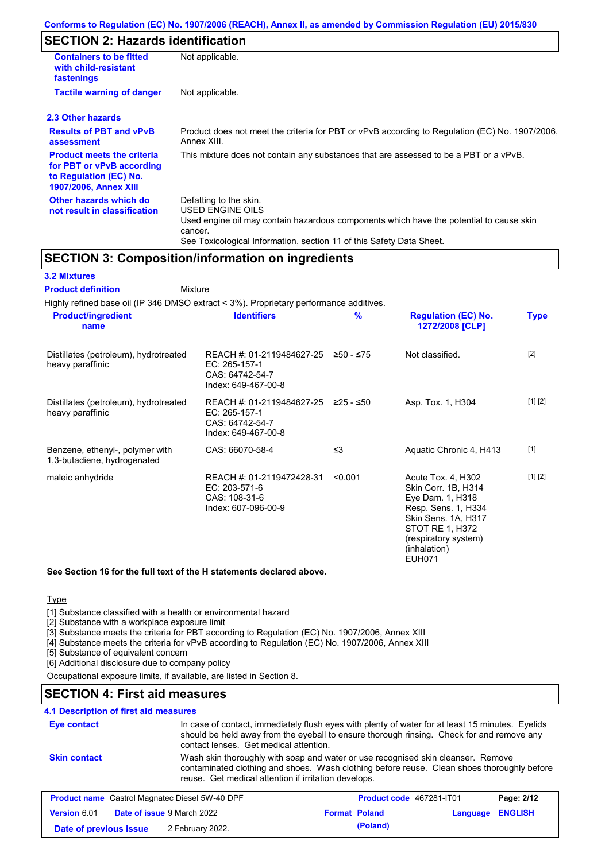## **SECTION 2: Hazards identification**

| <b>Containers to be fitted</b><br>with child-resistant<br>fastenings                                                     | Not applicable.                                                                                                                                                                                                          |
|--------------------------------------------------------------------------------------------------------------------------|--------------------------------------------------------------------------------------------------------------------------------------------------------------------------------------------------------------------------|
| <b>Tactile warning of danger</b>                                                                                         | Not applicable.                                                                                                                                                                                                          |
| 2.3 Other hazards                                                                                                        |                                                                                                                                                                                                                          |
| <b>Results of PBT and vPvB</b><br>assessment                                                                             | Product does not meet the criteria for PBT or vPvB according to Regulation (EC) No. 1907/2006,<br>Annex XIII.                                                                                                            |
| <b>Product meets the criteria</b><br>for PBT or vPvB according<br>to Regulation (EC) No.<br><b>1907/2006, Annex XIII</b> | This mixture does not contain any substances that are assessed to be a PBT or a vPvB.                                                                                                                                    |
| Other hazards which do<br>not result in classification                                                                   | Defatting to the skin.<br>USED ENGINE OILS<br>Used engine oil may contain hazardous components which have the potential to cause skin<br>cancer.<br>See Toxicological Information, section 11 of this Safety Data Sheet. |

### **SECTION 3: Composition/information on ingredients**

### **3.2 Mixtures**

Mixture **Product definition**

| Highly refined base oil (IP 346 DMSO extract < 3%). Proprietary performance additives. |                                                                                      |               |                                                                                                                                                                                         |             |
|----------------------------------------------------------------------------------------|--------------------------------------------------------------------------------------|---------------|-----------------------------------------------------------------------------------------------------------------------------------------------------------------------------------------|-------------|
| <b>Product/ingredient</b><br>name                                                      | <b>Identifiers</b>                                                                   | $\frac{9}{6}$ | <b>Regulation (EC) No.</b><br>1272/2008 [CLP]                                                                                                                                           | <b>Type</b> |
| Distillates (petroleum), hydrotreated<br>heavy paraffinic                              | REACH #: 01-2119484627-25<br>EC: 265-157-1<br>CAS: 64742-54-7<br>Index: 649-467-00-8 | ≥50 - ≤75     | Not classified.                                                                                                                                                                         | $[2]$       |
| Distillates (petroleum), hydrotreated<br>heavy paraffinic                              | REACH #: 01-2119484627-25<br>EC: 265-157-1<br>CAS: 64742-54-7<br>Index: 649-467-00-8 | ≥25 - ≤50     | Asp. Tox. 1, H304                                                                                                                                                                       | [1] [2]     |
| Benzene, ethenyl-, polymer with<br>1,3-butadiene, hydrogenated                         | CAS: 66070-58-4                                                                      | $\leq$ 3      | Aquatic Chronic 4, H413                                                                                                                                                                 | $[1]$       |
| maleic anhydride                                                                       | REACH #: 01-2119472428-31<br>EC: 203-571-6<br>CAS: 108-31-6<br>Index: 607-096-00-9   | < 0.001       | Acute Tox. 4, H302<br>Skin Corr. 1B, H314<br>Eye Dam. 1, H318<br>Resp. Sens. 1, H334<br>Skin Sens. 1A, H317<br>STOT RE 1, H372<br>(respiratory system)<br>(inhalation)<br><b>EUH071</b> | [1] [2]     |

### **See Section 16 for the full text of the H statements declared above.**

### Type

[1] Substance classified with a health or environmental hazard

[2] Substance with a workplace exposure limit

[3] Substance meets the criteria for PBT according to Regulation (EC) No. 1907/2006, Annex XIII

[4] Substance meets the criteria for vPvB according to Regulation (EC) No. 1907/2006, Annex XIII

[5] Substance of equivalent concern

[6] Additional disclosure due to company policy

Occupational exposure limits, if available, are listed in Section 8.

## **SECTION 4: First aid measures**

### **4.1 Description of first aid measures**

| Eye contact            |                                                       | In case of contact, immediately flush eyes with plenty of water for at least 15 minutes. Eyelids<br>should be held away from the eyeball to ensure thorough rinsing. Check for and remove any<br>contact lenses. Get medical attention. |          |                |
|------------------------|-------------------------------------------------------|-----------------------------------------------------------------------------------------------------------------------------------------------------------------------------------------------------------------------------------------|----------|----------------|
| <b>Skin contact</b>    | reuse. Get medical attention if irritation develops.  | Wash skin thoroughly with soap and water or use recognised skin cleanser. Remove<br>contaminated clothing and shoes. Wash clothing before reuse. Clean shoes thoroughly before                                                          |          |                |
|                        | <b>Product name</b> Castrol Magnatec Diesel 5W-40 DPF | Product code 467281-IT01                                                                                                                                                                                                                |          | Page: 2/12     |
| <b>Version 6.01</b>    | Date of issue 9 March 2022                            | <b>Format Poland</b>                                                                                                                                                                                                                    | Language | <b>ENGLISH</b> |
| Date of previous issue | 2 February 2022.                                      | (Poland)                                                                                                                                                                                                                                |          |                |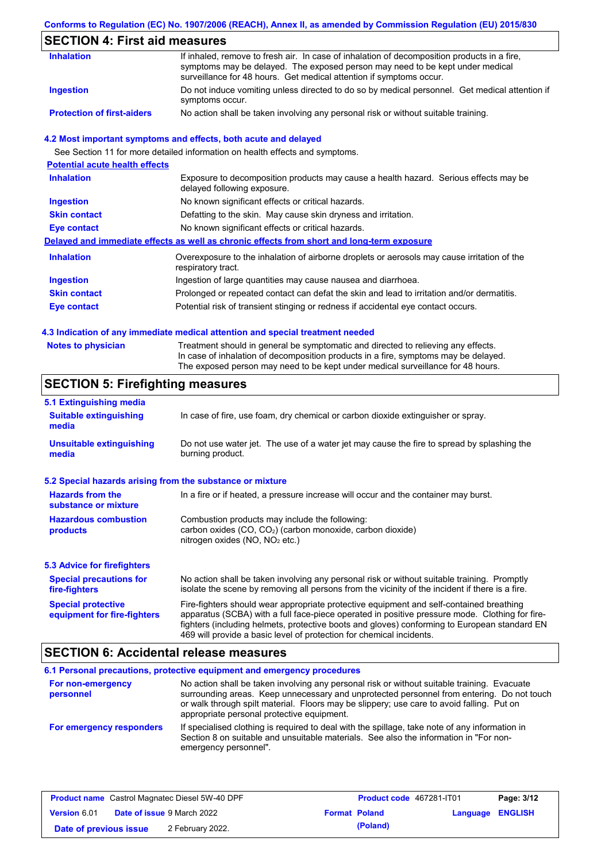### **Conforms to Regulation (EC) No. 1907/2006 (REACH), Annex II, as amended by Commission Regulation (EU) 2015/830**

## **SECTION 4: First aid measures**

| <b>Inhalation</b>                 | If inhaled, remove to fresh air. In case of inhalation of decomposition products in a fire,<br>symptoms may be delayed. The exposed person may need to be kept under medical<br>surveillance for 48 hours. Get medical attention if symptoms occur. |
|-----------------------------------|-----------------------------------------------------------------------------------------------------------------------------------------------------------------------------------------------------------------------------------------------------|
| <b>Ingestion</b>                  | Do not induce vomiting unless directed to do so by medical personnel. Get medical attention if<br>symptoms occur.                                                                                                                                   |
| <b>Protection of first-aiders</b> | No action shall be taken involving any personal risk or without suitable training.                                                                                                                                                                  |

### **4.2 Most important symptoms and effects, both acute and delayed**

See Section 11 for more detailed information on health effects and symptoms.

| <b>Potential acute health effects</b> |                                                                                                                     |
|---------------------------------------|---------------------------------------------------------------------------------------------------------------------|
| <b>Inhalation</b>                     | Exposure to decomposition products may cause a health hazard. Serious effects may be<br>delayed following exposure. |
| <b>Ingestion</b>                      | No known significant effects or critical hazards.                                                                   |
| <b>Skin contact</b>                   | Defatting to the skin. May cause skin dryness and irritation.                                                       |
| Eye contact                           | No known significant effects or critical hazards.                                                                   |
|                                       | Delayed and immediate effects as well as chronic effects from short and long-term exposure                          |
| <b>Inhalation</b>                     | Overexposure to the inhalation of airborne droplets or aerosols may cause irritation of the<br>respiratory tract.   |
| <b>Ingestion</b>                      | Ingestion of large quantities may cause nausea and diarrhoea.                                                       |
| <b>Skin contact</b>                   | Prolonged or repeated contact can defat the skin and lead to irritation and/or dermatitis.                          |
| Eye contact                           | Potential risk of transient stinging or redness if accidental eye contact occurs.                                   |
|                                       |                                                                                                                     |

#### **4.3 Indication of any immediate medical attention and special treatment needed**

| <b>Notes to physician</b> | Treatment should in general be symptomatic and directed to relieving any effects.   |
|---------------------------|-------------------------------------------------------------------------------------|
|                           | In case of inhalation of decomposition products in a fire, symptoms may be delayed. |
|                           | The exposed person may need to be kept under medical surveillance for 48 hours.     |

## **SECTION 5: Firefighting measures**

| 5.1 Extinguishing media                                   |                                                                                                                                                                                                                                                                                                                                                                   |
|-----------------------------------------------------------|-------------------------------------------------------------------------------------------------------------------------------------------------------------------------------------------------------------------------------------------------------------------------------------------------------------------------------------------------------------------|
| <b>Suitable extinguishing</b><br>media                    | In case of fire, use foam, dry chemical or carbon dioxide extinguisher or spray.                                                                                                                                                                                                                                                                                  |
| <b>Unsuitable extinguishing</b><br>media                  | Do not use water jet. The use of a water jet may cause the fire to spread by splashing the<br>burning product.                                                                                                                                                                                                                                                    |
| 5.2 Special hazards arising from the substance or mixture |                                                                                                                                                                                                                                                                                                                                                                   |
| <b>Hazards from the</b><br>substance or mixture           | In a fire or if heated, a pressure increase will occur and the container may burst.                                                                                                                                                                                                                                                                               |
| <b>Hazardous combustion</b><br>products                   | Combustion products may include the following:<br>carbon oxides (CO, CO <sub>2</sub> ) (carbon monoxide, carbon dioxide)<br>nitrogen oxides ( $NO$ , $NO2$ etc.)                                                                                                                                                                                                  |
| 5.3 Advice for firefighters                               |                                                                                                                                                                                                                                                                                                                                                                   |
| <b>Special precautions for</b><br>fire-fighters           | No action shall be taken involving any personal risk or without suitable training. Promptly<br>isolate the scene by removing all persons from the vicinity of the incident if there is a fire.                                                                                                                                                                    |
| <b>Special protective</b><br>equipment for fire-fighters  | Fire-fighters should wear appropriate protective equipment and self-contained breathing<br>apparatus (SCBA) with a full face-piece operated in positive pressure mode. Clothing for fire-<br>fighters (including helmets, protective boots and gloves) conforming to European standard EN<br>469 will provide a basic level of protection for chemical incidents. |

### **SECTION 6: Accidental release measures**

**6.1 Personal precautions, protective equipment and emergency procedures For non-emergency personnel For emergency responders** No action shall be taken involving any personal risk or without suitable training. Evacuate surrounding areas. Keep unnecessary and unprotected personnel from entering. Do not touch or walk through spilt material. Floors may be slippery; use care to avoid falling. Put on appropriate personal protective equipment. If specialised clothing is required to deal with the spillage, take note of any information in Section 8 on suitable and unsuitable materials. See also the information in "For nonemergency personnel".

| <b>Product name</b> Castrol Magnatec Diesel 5W-40 DPF |  | <b>Product code</b> 467281-IT01   |                      | Page: 3/12 |                         |  |
|-------------------------------------------------------|--|-----------------------------------|----------------------|------------|-------------------------|--|
| <b>Version 6.01</b>                                   |  | <b>Date of issue 9 March 2022</b> | <b>Format Poland</b> |            | <b>Language ENGLISH</b> |  |
| Date of previous issue                                |  | 2 February 2022.                  |                      | (Poland)   |                         |  |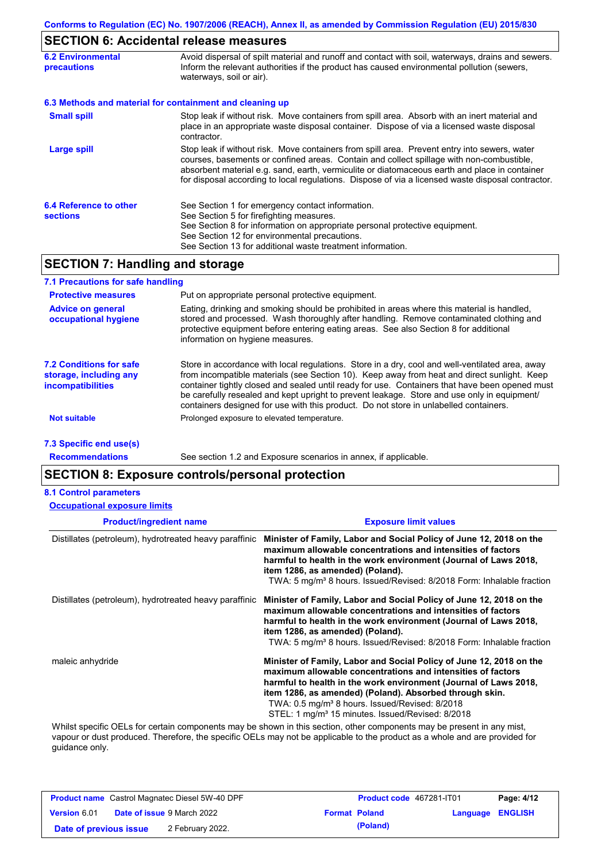# **SECTION 6: Accidental release measures**

| <b>6.2 Environmental</b><br><b>precautions</b> | Avoid dispersal of spilt material and runoff and contact with soil, waterways, drains and sewers.<br>Inform the relevant authorities if the product has caused environmental pollution (sewers,<br>waterways, soil or air).                                                                                                                                                                    |  |
|------------------------------------------------|------------------------------------------------------------------------------------------------------------------------------------------------------------------------------------------------------------------------------------------------------------------------------------------------------------------------------------------------------------------------------------------------|--|
|                                                | 6.3 Methods and material for containment and cleaning up                                                                                                                                                                                                                                                                                                                                       |  |
| <b>Small spill</b>                             | Stop leak if without risk. Move containers from spill area. Absorb with an inert material and<br>place in an appropriate waste disposal container. Dispose of via a licensed waste disposal<br>contractor.                                                                                                                                                                                     |  |
| Large spill                                    | Stop leak if without risk. Move containers from spill area. Prevent entry into sewers, water<br>courses, basements or confined areas. Contain and collect spillage with non-combustible,<br>absorbent material e.g. sand, earth, vermiculite or diatomaceous earth and place in container<br>for disposal according to local regulations. Dispose of via a licensed waste disposal contractor. |  |
| 6.4 Reference to other<br><b>sections</b>      | See Section 1 for emergency contact information.<br>See Section 5 for firefighting measures.<br>See Section 8 for information on appropriate personal protective equipment.<br>See Section 12 for environmental precautions.<br>See Section 13 for additional waste treatment information.                                                                                                     |  |

## **SECTION 7: Handling and storage**

| 7.1 Precautions for safe handling                                                    |                                                                                                                                                                                                                                                                                                                                                                                                                                                                                          |
|--------------------------------------------------------------------------------------|------------------------------------------------------------------------------------------------------------------------------------------------------------------------------------------------------------------------------------------------------------------------------------------------------------------------------------------------------------------------------------------------------------------------------------------------------------------------------------------|
| <b>Protective measures</b>                                                           | Put on appropriate personal protective equipment.                                                                                                                                                                                                                                                                                                                                                                                                                                        |
| <b>Advice on general</b><br>occupational hygiene                                     | Eating, drinking and smoking should be prohibited in areas where this material is handled,<br>stored and processed. Wash thoroughly after handling. Remove contaminated clothing and<br>protective equipment before entering eating areas. See also Section 8 for additional<br>information on hygiene measures.                                                                                                                                                                         |
| <b>7.2 Conditions for safe</b><br>storage, including any<br><i>incompatibilities</i> | Store in accordance with local regulations. Store in a dry, cool and well-ventilated area, away<br>from incompatible materials (see Section 10). Keep away from heat and direct sunlight. Keep<br>container tightly closed and sealed until ready for use. Containers that have been opened must<br>be carefully resealed and kept upright to prevent leakage. Store and use only in equipment/<br>containers designed for use with this product. Do not store in unlabelled containers. |
| <b>Not suitable</b>                                                                  | Prolonged exposure to elevated temperature.                                                                                                                                                                                                                                                                                                                                                                                                                                              |
| 7.3 Specific end use(s)                                                              |                                                                                                                                                                                                                                                                                                                                                                                                                                                                                          |

**Recommendations**

See section 1.2 and Exposure scenarios in annex, if applicable.

### **SECTION 8: Exposure controls/personal protection**

#### **8.1 Control parameters**

**Occupational exposure limits**

| <b>Product/ingredient name</b>                         | <b>Exposure limit values</b>                                                                                                                                                                                                                                                                                                                                                                    |
|--------------------------------------------------------|-------------------------------------------------------------------------------------------------------------------------------------------------------------------------------------------------------------------------------------------------------------------------------------------------------------------------------------------------------------------------------------------------|
| Distillates (petroleum), hydrotreated heavy paraffinic | Minister of Family, Labor and Social Policy of June 12, 2018 on the<br>maximum allowable concentrations and intensities of factors<br>harmful to health in the work environment (Journal of Laws 2018,<br>item 1286, as amended) (Poland).<br>TWA: 5 mg/m <sup>3</sup> 8 hours. Issued/Revised: 8/2018 Form: Inhalable fraction                                                                 |
| Distillates (petroleum), hydrotreated heavy paraffinic | Minister of Family, Labor and Social Policy of June 12, 2018 on the<br>maximum allowable concentrations and intensities of factors<br>harmful to health in the work environment (Journal of Laws 2018,<br>item 1286, as amended) (Poland).<br>TWA: 5 mg/m <sup>3</sup> 8 hours. Issued/Revised: 8/2018 Form: Inhalable fraction                                                                 |
| maleic anhydride                                       | Minister of Family, Labor and Social Policy of June 12, 2018 on the<br>maximum allowable concentrations and intensities of factors<br>harmful to health in the work environment (Journal of Laws 2018,<br>item 1286, as amended) (Poland). Absorbed through skin.<br>TWA: 0.5 mg/m <sup>3</sup> 8 hours. Issued/Revised: 8/2018<br>STEL: 1 mg/m <sup>3</sup> 15 minutes. Issued/Revised: 8/2018 |

Whilst specific OELs for certain components may be shown in this section, other components may be present in any mist, vapour or dust produced. Therefore, the specific OELs may not be applicable to the product as a whole and are provided for guidance only.

|                        | <b>Product name</b> Castrol Magnatec Diesel 5W-40 DPF | Product code 467281-IT01 |                         | Page: 4/12 |
|------------------------|-------------------------------------------------------|--------------------------|-------------------------|------------|
| <b>Version 6.01</b>    | <b>Date of issue 9 March 2022</b>                     | <b>Format Poland</b>     | <b>Language ENGLISH</b> |            |
| Date of previous issue | 2 February 2022.                                      | (Poland)                 |                         |            |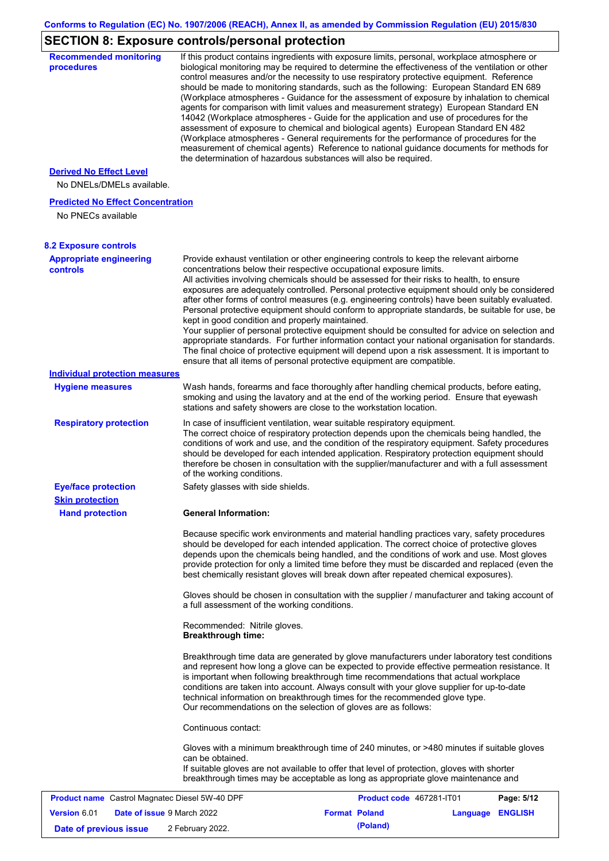# **SECTION 8: Exposure controls/personal protection**

| <b>procedures</b>                                              | biological monitoring may be required to determine the effectiveness of the ventilation or other<br>control measures and/or the necessity to use respiratory protective equipment. Reference<br>should be made to monitoring standards, such as the following: European Standard EN 689<br>(Workplace atmospheres - Guidance for the assessment of exposure by inhalation to chemical<br>agents for comparison with limit values and measurement strategy) European Standard EN                                                                                                                                                                                                                                                                                                                                                                                                                                                                                                                         |                          |                 |                |
|----------------------------------------------------------------|---------------------------------------------------------------------------------------------------------------------------------------------------------------------------------------------------------------------------------------------------------------------------------------------------------------------------------------------------------------------------------------------------------------------------------------------------------------------------------------------------------------------------------------------------------------------------------------------------------------------------------------------------------------------------------------------------------------------------------------------------------------------------------------------------------------------------------------------------------------------------------------------------------------------------------------------------------------------------------------------------------|--------------------------|-----------------|----------------|
|                                                                | 14042 (Workplace atmospheres - Guide for the application and use of procedures for the<br>assessment of exposure to chemical and biological agents) European Standard EN 482<br>(Workplace atmospheres - General requirements for the performance of procedures for the<br>measurement of chemical agents) Reference to national guidance documents for methods for<br>the determination of hazardous substances will also be required.                                                                                                                                                                                                                                                                                                                                                                                                                                                                                                                                                                 |                          |                 |                |
| <b>Derived No Effect Level</b>                                 |                                                                                                                                                                                                                                                                                                                                                                                                                                                                                                                                                                                                                                                                                                                                                                                                                                                                                                                                                                                                         |                          |                 |                |
| No DNELs/DMELs available.                                      |                                                                                                                                                                                                                                                                                                                                                                                                                                                                                                                                                                                                                                                                                                                                                                                                                                                                                                                                                                                                         |                          |                 |                |
| <b>Predicted No Effect Concentration</b><br>No PNECs available |                                                                                                                                                                                                                                                                                                                                                                                                                                                                                                                                                                                                                                                                                                                                                                                                                                                                                                                                                                                                         |                          |                 |                |
| <b>8.2 Exposure controls</b>                                   |                                                                                                                                                                                                                                                                                                                                                                                                                                                                                                                                                                                                                                                                                                                                                                                                                                                                                                                                                                                                         |                          |                 |                |
| <b>Appropriate engineering</b><br><b>controls</b>              | Provide exhaust ventilation or other engineering controls to keep the relevant airborne<br>concentrations below their respective occupational exposure limits.<br>All activities involving chemicals should be assessed for their risks to health, to ensure<br>exposures are adequately controlled. Personal protective equipment should only be considered<br>after other forms of control measures (e.g. engineering controls) have been suitably evaluated.<br>Personal protective equipment should conform to appropriate standards, be suitable for use, be<br>kept in good condition and properly maintained.<br>Your supplier of personal protective equipment should be consulted for advice on selection and<br>appropriate standards. For further information contact your national organisation for standards.<br>The final choice of protective equipment will depend upon a risk assessment. It is important to<br>ensure that all items of personal protective equipment are compatible. |                          |                 |                |
| <b>Individual protection measures</b>                          |                                                                                                                                                                                                                                                                                                                                                                                                                                                                                                                                                                                                                                                                                                                                                                                                                                                                                                                                                                                                         |                          |                 |                |
| <b>Hygiene measures</b>                                        | Wash hands, forearms and face thoroughly after handling chemical products, before eating,<br>smoking and using the lavatory and at the end of the working period. Ensure that eyewash<br>stations and safety showers are close to the workstation location.                                                                                                                                                                                                                                                                                                                                                                                                                                                                                                                                                                                                                                                                                                                                             |                          |                 |                |
| <b>Respiratory protection</b>                                  | In case of insufficient ventilation, wear suitable respiratory equipment.<br>The correct choice of respiratory protection depends upon the chemicals being handled, the<br>conditions of work and use, and the condition of the respiratory equipment. Safety procedures<br>should be developed for each intended application. Respiratory protection equipment should<br>therefore be chosen in consultation with the supplier/manufacturer and with a full assessment<br>of the working conditions.                                                                                                                                                                                                                                                                                                                                                                                                                                                                                                   |                          |                 |                |
| <b>Eye/face protection</b>                                     | Safety glasses with side shields.                                                                                                                                                                                                                                                                                                                                                                                                                                                                                                                                                                                                                                                                                                                                                                                                                                                                                                                                                                       |                          |                 |                |
| <b>Skin protection</b>                                         |                                                                                                                                                                                                                                                                                                                                                                                                                                                                                                                                                                                                                                                                                                                                                                                                                                                                                                                                                                                                         |                          |                 |                |
| <b>Hand protection</b>                                         | General Information:                                                                                                                                                                                                                                                                                                                                                                                                                                                                                                                                                                                                                                                                                                                                                                                                                                                                                                                                                                                    |                          |                 |                |
|                                                                | Because specific work environments and material handling practices vary, safety procedures<br>should be developed for each intended application. The correct choice of protective gloves<br>depends upon the chemicals being handled, and the conditions of work and use. Most gloves<br>provide protection for only a limited time before they must be discarded and replaced (even the<br>best chemically resistant gloves will break down after repeated chemical exposures).                                                                                                                                                                                                                                                                                                                                                                                                                                                                                                                        |                          |                 |                |
|                                                                | Gloves should be chosen in consultation with the supplier / manufacturer and taking account of<br>a full assessment of the working conditions.                                                                                                                                                                                                                                                                                                                                                                                                                                                                                                                                                                                                                                                                                                                                                                                                                                                          |                          |                 |                |
|                                                                | Recommended: Nitrile gloves.<br><b>Breakthrough time:</b>                                                                                                                                                                                                                                                                                                                                                                                                                                                                                                                                                                                                                                                                                                                                                                                                                                                                                                                                               |                          |                 |                |
|                                                                | Breakthrough time data are generated by glove manufacturers under laboratory test conditions<br>and represent how long a glove can be expected to provide effective permeation resistance. It<br>is important when following breakthrough time recommendations that actual workplace<br>conditions are taken into account. Always consult with your glove supplier for up-to-date<br>technical information on breakthrough times for the recommended glove type.<br>Our recommendations on the selection of gloves are as follows:                                                                                                                                                                                                                                                                                                                                                                                                                                                                      |                          |                 |                |
|                                                                | Continuous contact:                                                                                                                                                                                                                                                                                                                                                                                                                                                                                                                                                                                                                                                                                                                                                                                                                                                                                                                                                                                     |                          |                 |                |
|                                                                | Gloves with a minimum breakthrough time of 240 minutes, or >480 minutes if suitable gloves<br>can be obtained.<br>If suitable gloves are not available to offer that level of protection, gloves with shorter<br>breakthrough times may be acceptable as long as appropriate glove maintenance and                                                                                                                                                                                                                                                                                                                                                                                                                                                                                                                                                                                                                                                                                                      |                          |                 |                |
| <b>Product name</b> Castrol Magnatec Diesel 5W-40 DPF          |                                                                                                                                                                                                                                                                                                                                                                                                                                                                                                                                                                                                                                                                                                                                                                                                                                                                                                                                                                                                         | Product code 467281-IT01 |                 | Page: 5/12     |
| <b>Version 6.01</b><br>Date of issue 9 March 2022              |                                                                                                                                                                                                                                                                                                                                                                                                                                                                                                                                                                                                                                                                                                                                                                                                                                                                                                                                                                                                         | <b>Format Poland</b>     | <b>Language</b> | <b>ENGLISH</b> |

**Date of previous issue (Poland)** 2 February 2022.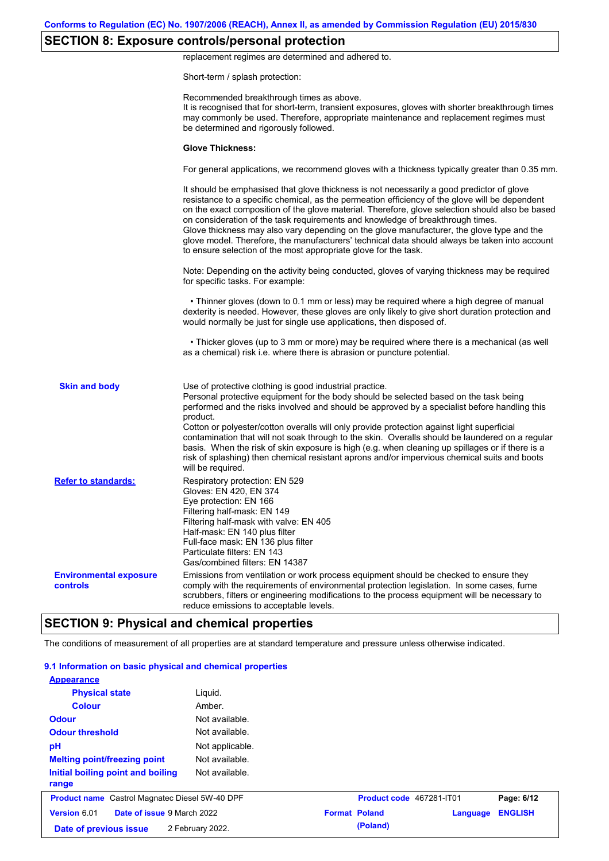## **SECTION 8: Exposure controls/personal protection**

replacement regimes are determined and adhered to.

Short-term / splash protection:

|                                           | Recommended breakthrough times as above.<br>It is recognised that for short-term, transient exposures, gloves with shorter breakthrough times<br>may commonly be used. Therefore, appropriate maintenance and replacement regimes must<br>be determined and rigorously followed.                                                                                                                                                                                                                                                                                                                                                                                                      |
|-------------------------------------------|---------------------------------------------------------------------------------------------------------------------------------------------------------------------------------------------------------------------------------------------------------------------------------------------------------------------------------------------------------------------------------------------------------------------------------------------------------------------------------------------------------------------------------------------------------------------------------------------------------------------------------------------------------------------------------------|
|                                           | <b>Glove Thickness:</b>                                                                                                                                                                                                                                                                                                                                                                                                                                                                                                                                                                                                                                                               |
|                                           | For general applications, we recommend gloves with a thickness typically greater than 0.35 mm.                                                                                                                                                                                                                                                                                                                                                                                                                                                                                                                                                                                        |
|                                           | It should be emphasised that glove thickness is not necessarily a good predictor of glove<br>resistance to a specific chemical, as the permeation efficiency of the glove will be dependent<br>on the exact composition of the glove material. Therefore, glove selection should also be based<br>on consideration of the task requirements and knowledge of breakthrough times.<br>Glove thickness may also vary depending on the glove manufacturer, the glove type and the<br>glove model. Therefore, the manufacturers' technical data should always be taken into account<br>to ensure selection of the most appropriate glove for the task.                                     |
|                                           | Note: Depending on the activity being conducted, gloves of varying thickness may be required<br>for specific tasks. For example:                                                                                                                                                                                                                                                                                                                                                                                                                                                                                                                                                      |
|                                           | • Thinner gloves (down to 0.1 mm or less) may be required where a high degree of manual<br>dexterity is needed. However, these gloves are only likely to give short duration protection and<br>would normally be just for single use applications, then disposed of.                                                                                                                                                                                                                                                                                                                                                                                                                  |
|                                           | • Thicker gloves (up to 3 mm or more) may be required where there is a mechanical (as well<br>as a chemical) risk i.e. where there is abrasion or puncture potential.                                                                                                                                                                                                                                                                                                                                                                                                                                                                                                                 |
| <b>Skin and body</b>                      | Use of protective clothing is good industrial practice.<br>Personal protective equipment for the body should be selected based on the task being<br>performed and the risks involved and should be approved by a specialist before handling this<br>product.<br>Cotton or polyester/cotton overalls will only provide protection against light superficial<br>contamination that will not soak through to the skin. Overalls should be laundered on a regular<br>basis. When the risk of skin exposure is high (e.g. when cleaning up spillages or if there is a<br>risk of splashing) then chemical resistant aprons and/or impervious chemical suits and boots<br>will be required. |
| <b>Refer to standards:</b>                | Respiratory protection: EN 529<br>Gloves: EN 420, EN 374<br>Eye protection: EN 166<br>Filtering half-mask: EN 149<br>Filtering half-mask with valve: EN 405<br>Half-mask: EN 140 plus filter<br>Full-face mask: EN 136 plus filter<br>Particulate filters: EN 143<br>Gas/combined filters: EN 14387                                                                                                                                                                                                                                                                                                                                                                                   |
| <b>Environmental exposure</b><br>controls | Emissions from ventilation or work process equipment should be checked to ensure they<br>comply with the requirements of environmental protection legislation. In some cases, fume<br>scrubbers, filters or engineering modifications to the process equipment will be necessary to<br>reduce emissions to acceptable levels.                                                                                                                                                                                                                                                                                                                                                         |
|                                           | <b>SECTION 9: Physical and chemical properties</b>                                                                                                                                                                                                                                                                                                                                                                                                                                                                                                                                                                                                                                    |

### The conditions of measurement of all properties are at standard temperature and pressure unless otherwise indicated.

| 9.1 Information on basic physical and chemical properties |                  |                      |                          |          |                |
|-----------------------------------------------------------|------------------|----------------------|--------------------------|----------|----------------|
| <b>Appearance</b>                                         |                  |                      |                          |          |                |
| <b>Physical state</b>                                     | Liquid.          |                      |                          |          |                |
| <b>Colour</b>                                             | Amber.           |                      |                          |          |                |
| <b>Odour</b>                                              | Not available.   |                      |                          |          |                |
| <b>Odour threshold</b>                                    | Not available.   |                      |                          |          |                |
| pH                                                        | Not applicable.  |                      |                          |          |                |
| <b>Melting point/freezing point</b>                       | Not available.   |                      |                          |          |                |
| Initial boiling point and boiling<br>range                | Not available.   |                      |                          |          |                |
| <b>Product name</b> Castrol Magnatec Diesel 5W-40 DPF     |                  |                      | Product code 467281-IT01 |          | Page: 6/12     |
| Date of issue 9 March 2022<br>Version 6.01                |                  | <b>Format Poland</b> |                          | Language | <b>ENGLISH</b> |
| Date of previous issue                                    | 2 February 2022. |                      | (Poland)                 |          |                |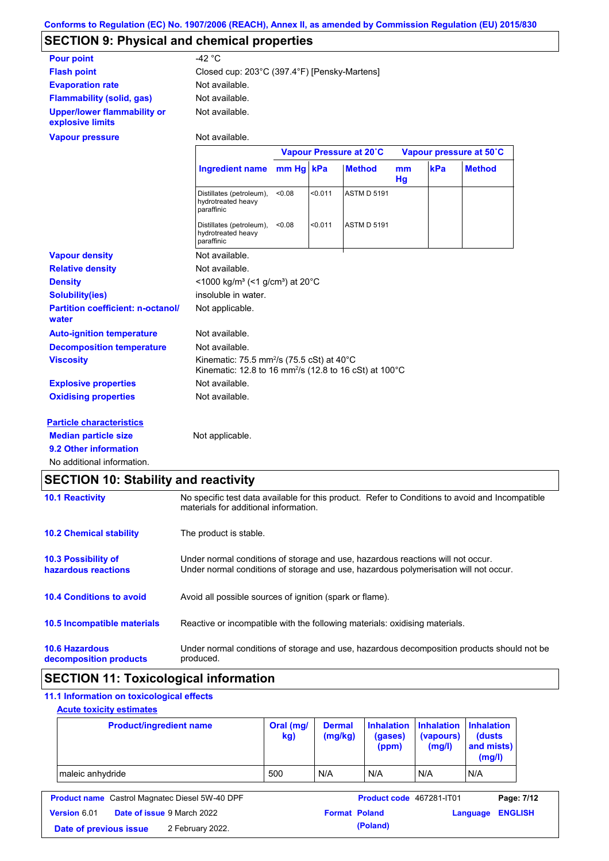# **SECTION 9: Physical and chemical properties**

| <b>Pour point</b>                                      | -42 $^{\circ}$ C                                                                                                                       |           |         |                         |          |     |                         |
|--------------------------------------------------------|----------------------------------------------------------------------------------------------------------------------------------------|-----------|---------|-------------------------|----------|-----|-------------------------|
| <b>Flash point</b>                                     | Closed cup: 203°C (397.4°F) [Pensky-Martens]                                                                                           |           |         |                         |          |     |                         |
| <b>Evaporation rate</b>                                | Not available.                                                                                                                         |           |         |                         |          |     |                         |
| <b>Flammability (solid, gas)</b>                       | Not available.                                                                                                                         |           |         |                         |          |     |                         |
| <b>Upper/lower flammability or</b><br>explosive limits | Not available.                                                                                                                         |           |         |                         |          |     |                         |
| <b>Vapour pressure</b>                                 | Not available.                                                                                                                         |           |         |                         |          |     |                         |
|                                                        |                                                                                                                                        |           |         | Vapour Pressure at 20°C |          |     | Vapour pressure at 50°C |
|                                                        | <b>Ingredient name</b>                                                                                                                 | mm Hg kPa |         | <b>Method</b>           | mm<br>Hg | kPa | <b>Method</b>           |
|                                                        | Distillates (petroleum),<br>hydrotreated heavy<br>paraffinic                                                                           | < 0.08    | < 0.011 | <b>ASTM D 5191</b>      |          |     |                         |
|                                                        | Distillates (petroleum),<br>hydrotreated heavy<br>paraffinic                                                                           | < 0.08    | < 0.011 | <b>ASTM D 5191</b>      |          |     |                         |
| <b>Vapour density</b>                                  | Not available.                                                                                                                         |           |         |                         |          |     |                         |
| <b>Relative density</b>                                | Not available.                                                                                                                         |           |         |                         |          |     |                         |
| <b>Density</b>                                         | <1000 kg/m <sup>3</sup> (<1 g/cm <sup>3</sup> ) at 20 <sup>°</sup> C                                                                   |           |         |                         |          |     |                         |
| <b>Solubility(ies)</b>                                 | insoluble in water.                                                                                                                    |           |         |                         |          |     |                         |
| <b>Partition coefficient: n-octanol/</b><br>water      | Not applicable.                                                                                                                        |           |         |                         |          |     |                         |
| <b>Auto-ignition temperature</b>                       | Not available.                                                                                                                         |           |         |                         |          |     |                         |
| <b>Decomposition temperature</b>                       | Not available.                                                                                                                         |           |         |                         |          |     |                         |
| <b>Viscosity</b>                                       | Kinematic: 75.5 mm <sup>2</sup> /s (75.5 cSt) at 40 $^{\circ}$ C<br>Kinematic: 12.8 to 16 mm <sup>2</sup> /s (12.8 to 16 cSt) at 100°C |           |         |                         |          |     |                         |
| <b>Explosive properties</b>                            | Not available.                                                                                                                         |           |         |                         |          |     |                         |
| <b>Oxidising properties</b>                            | Not available.                                                                                                                         |           |         |                         |          |     |                         |
| <b>Particle characteristics</b>                        |                                                                                                                                        |           |         |                         |          |     |                         |
| <b>Median particle size</b>                            | Not applicable.                                                                                                                        |           |         |                         |          |     |                         |
| 9.2 Other information                                  |                                                                                                                                        |           |         |                         |          |     |                         |
| No additional information.                             |                                                                                                                                        |           |         |                         |          |     |                         |

# **SECTION 10: Stability and reactivity**

|                                                   | -                                                                                                                                                                       |
|---------------------------------------------------|-------------------------------------------------------------------------------------------------------------------------------------------------------------------------|
| <b>10.1 Reactivity</b>                            | No specific test data available for this product. Refer to Conditions to avoid and Incompatible<br>materials for additional information.                                |
| <b>10.2 Chemical stability</b>                    | The product is stable.                                                                                                                                                  |
| <b>10.3 Possibility of</b><br>hazardous reactions | Under normal conditions of storage and use, hazardous reactions will not occur.<br>Under normal conditions of storage and use, hazardous polymerisation will not occur. |
| <b>10.4 Conditions to avoid</b>                   | Avoid all possible sources of ignition (spark or flame).                                                                                                                |
| <b>10.5 Incompatible materials</b>                | Reactive or incompatible with the following materials: oxidising materials.                                                                                             |
| <b>10.6 Hazardous</b><br>decomposition products   | Under normal conditions of storage and use, hazardous decomposition products should not be<br>produced.                                                                 |

# **SECTION 11: Toxicological information**

## **11.1 Information on toxicological effects**

## **Acute toxicity estimates**

| <b>Product/ingredient name</b> | Oral (mg/<br>kg) | <b>Dermal</b><br>(mg/kg) | (gases)<br>(ppm) | Inhalation Inhalation Inhalation<br>(vapours)<br>(mg/l) | (dusts)<br>and mists)<br>(mg/l) |
|--------------------------------|------------------|--------------------------|------------------|---------------------------------------------------------|---------------------------------|
| maleic anhydride               | 500              | N/A                      | N/A              | N/A                                                     | N/A                             |

|                        | <b>Product name</b> Castrol Magnatec Diesel 5W-40 DPF |                      | Product code 467281-IT01 |                  | Page: 7/12 |
|------------------------|-------------------------------------------------------|----------------------|--------------------------|------------------|------------|
| <b>Version 6.01</b>    | <b>Date of issue 9 March 2022</b>                     | <b>Format Poland</b> |                          | Language ENGLISH |            |
| Date of previous issue | 2 February 2022.                                      |                      | (Poland)                 |                  |            |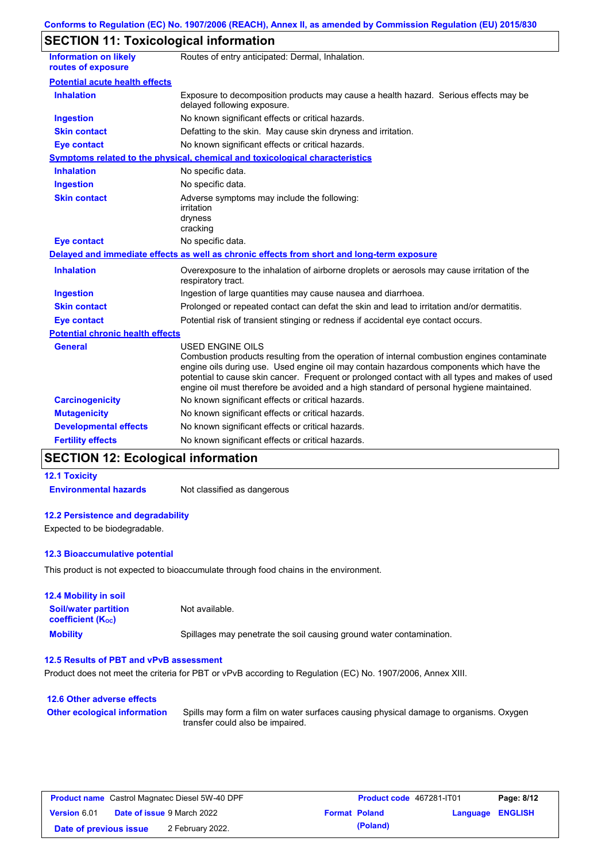# **SECTION 11: Toxicological information**

| <b>Information on likely</b><br>routes of exposure | Routes of entry anticipated: Dermal, Inhalation.                                                                                                                                                                                                                                                                                                                                                                |
|----------------------------------------------------|-----------------------------------------------------------------------------------------------------------------------------------------------------------------------------------------------------------------------------------------------------------------------------------------------------------------------------------------------------------------------------------------------------------------|
| <b>Potential acute health effects</b>              |                                                                                                                                                                                                                                                                                                                                                                                                                 |
| <b>Inhalation</b>                                  | Exposure to decomposition products may cause a health hazard. Serious effects may be<br>delayed following exposure.                                                                                                                                                                                                                                                                                             |
| <b>Ingestion</b>                                   | No known significant effects or critical hazards.                                                                                                                                                                                                                                                                                                                                                               |
| <b>Skin contact</b>                                | Defatting to the skin. May cause skin dryness and irritation.                                                                                                                                                                                                                                                                                                                                                   |
| <b>Eye contact</b>                                 | No known significant effects or critical hazards.                                                                                                                                                                                                                                                                                                                                                               |
|                                                    | Symptoms related to the physical, chemical and toxicological characteristics                                                                                                                                                                                                                                                                                                                                    |
| <b>Inhalation</b>                                  | No specific data.                                                                                                                                                                                                                                                                                                                                                                                               |
| <b>Ingestion</b>                                   | No specific data.                                                                                                                                                                                                                                                                                                                                                                                               |
| <b>Skin contact</b>                                | Adverse symptoms may include the following:<br>irritation<br>dryness<br>cracking                                                                                                                                                                                                                                                                                                                                |
| <b>Eye contact</b>                                 | No specific data.                                                                                                                                                                                                                                                                                                                                                                                               |
|                                                    | Delayed and immediate effects as well as chronic effects from short and long-term exposure                                                                                                                                                                                                                                                                                                                      |
| <b>Inhalation</b>                                  | Overexposure to the inhalation of airborne droplets or aerosols may cause irritation of the<br>respiratory tract.                                                                                                                                                                                                                                                                                               |
| <b>Ingestion</b>                                   | Ingestion of large quantities may cause nausea and diarrhoea.                                                                                                                                                                                                                                                                                                                                                   |
| <b>Skin contact</b>                                | Prolonged or repeated contact can defat the skin and lead to irritation and/or dermatitis.                                                                                                                                                                                                                                                                                                                      |
| <b>Eye contact</b>                                 | Potential risk of transient stinging or redness if accidental eye contact occurs.                                                                                                                                                                                                                                                                                                                               |
| <b>Potential chronic health effects</b>            |                                                                                                                                                                                                                                                                                                                                                                                                                 |
| <b>General</b>                                     | <b>USED ENGINE OILS</b><br>Combustion products resulting from the operation of internal combustion engines contaminate<br>engine oils during use. Used engine oil may contain hazardous components which have the<br>potential to cause skin cancer. Frequent or prolonged contact with all types and makes of used<br>engine oil must therefore be avoided and a high standard of personal hygiene maintained. |
| <b>Carcinogenicity</b>                             | No known significant effects or critical hazards.                                                                                                                                                                                                                                                                                                                                                               |
| <b>Mutagenicity</b>                                | No known significant effects or critical hazards.                                                                                                                                                                                                                                                                                                                                                               |
| <b>Developmental effects</b>                       | No known significant effects or critical hazards.                                                                                                                                                                                                                                                                                                                                                               |
| <b>Fertility effects</b>                           | No known significant effects or critical hazards.                                                                                                                                                                                                                                                                                                                                                               |

# **SECTION 12: Ecological information**

### **12.1 Toxicity**

**Environmental hazards** Not classified as dangerous

### **12.2 Persistence and degradability**

Expected to be biodegradable.

### **12.3 Bioaccumulative potential**

This product is not expected to bioaccumulate through food chains in the environment.

| <b>12.4 Mobility in soil</b>                                  |                                                                      |
|---------------------------------------------------------------|----------------------------------------------------------------------|
| <b>Soil/water partition</b><br>coefficient (K <sub>oc</sub> ) | Not available.                                                       |
| <b>Mobility</b>                                               | Spillages may penetrate the soil causing ground water contamination. |

### **12.5 Results of PBT and vPvB assessment**

Product does not meet the criteria for PBT or vPvB according to Regulation (EC) No. 1907/2006, Annex XIII.

### **12.6 Other adverse effects Other ecological information**

Spills may form a film on water surfaces causing physical damage to organisms. Oxygen transfer could also be impaired.

| <b>Product name</b> Castrol Magnatec Diesel 5W-40 DPF    |  |                  | <b>Product code</b> 467281-IT01 | Page: 8/12              |  |  |
|----------------------------------------------------------|--|------------------|---------------------------------|-------------------------|--|--|
| <b>Version 6.01</b><br><b>Date of issue 9 March 2022</b> |  |                  | <b>Format Poland</b>            | <b>Language ENGLISH</b> |  |  |
| Date of previous issue                                   |  | 2 February 2022. |                                 | (Poland)                |  |  |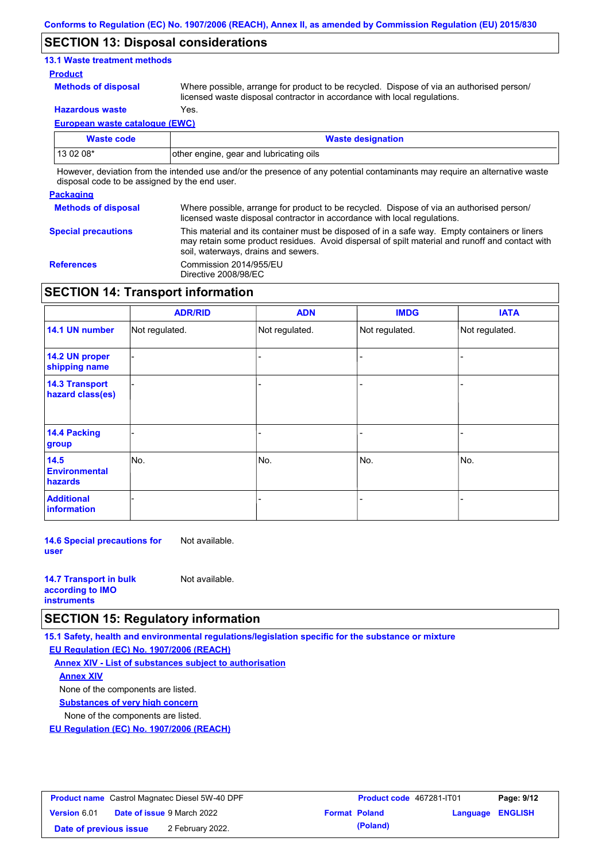### **SECTION 13: Disposal considerations**

### **13.1 Waste treatment methods**

#### **Product**

**Methods of disposal**

Where possible, arrange for product to be recycled. Dispose of via an authorised person/ licensed waste disposal contractor in accordance with local regulations.

**Hazardous waste** Yes.

**European waste catalogue (EWC)**

| Waste code | <b>Waste designation</b>                                                                                                                                                                                                      |
|------------|-------------------------------------------------------------------------------------------------------------------------------------------------------------------------------------------------------------------------------|
| $130208*$  | other engine, gear and lubricating oils                                                                                                                                                                                       |
|            | . There is a chatter form the between the tree is allegated and concerned and and the composition of the contract of the contract of the second contract of the second contract of the second contract of the second contract |

However, deviation from the intended use and/or the presence of any potential contaminants may require an alternative waste disposal code to be assigned by the end user.

#### **Packaging**

| 1.491199119                |                                                                                                                                                                                                                                         |
|----------------------------|-----------------------------------------------------------------------------------------------------------------------------------------------------------------------------------------------------------------------------------------|
| <b>Methods of disposal</b> | Where possible, arrange for product to be recycled. Dispose of via an authorised person/<br>licensed waste disposal contractor in accordance with local regulations.                                                                    |
| <b>Special precautions</b> | This material and its container must be disposed of in a safe way. Empty containers or liners<br>may retain some product residues. Avoid dispersal of spilt material and runoff and contact with<br>soil, waterways, drains and sewers. |
| <b>References</b>          | Commission 2014/955/EU<br>Directive 2008/98/EC                                                                                                                                                                                          |

### **SECTION 14: Transport information**

|                                           | <b>ADR/RID</b> | <b>ADN</b>     | <b>IMDG</b>    | <b>IATA</b>    |
|-------------------------------------------|----------------|----------------|----------------|----------------|
| 14.1 UN number                            | Not regulated. | Not regulated. | Not regulated. | Not regulated. |
| 14.2 UN proper<br>shipping name           |                |                |                |                |
| <b>14.3 Transport</b><br>hazard class(es) |                |                |                |                |
| 14.4 Packing<br>group                     |                |                |                |                |
| 14.5<br><b>Environmental</b><br>hazards   | No.            | No.            | No.            | No.            |
| <b>Additional</b><br>information          |                |                |                |                |

**14.6 Special precautions for user** Not available.

| <b>14.7 Transport in bulk</b> | Not available. |
|-------------------------------|----------------|
| according to <b>IMO</b>       |                |
| <b>instruments</b>            |                |

### **SECTION 15: Regulatory information**

**15.1 Safety, health and environmental regulations/legislation specific for the substance or mixture**

**EU Regulation (EC) No. 1907/2006 (REACH)**

**Annex XIV - List of substances subject to authorisation Substances of very high concern** None of the components are listed. None of the components are listed. **Annex XIV**

**EU Regulation (EC) No. 1907/2006 (REACH)**

| <b>Product name</b> Castrol Magnatec Diesel 5W-40 DPF |  |                                   | <b>Product code</b> 467281-IT01 | Page: 9/12           |                         |  |
|-------------------------------------------------------|--|-----------------------------------|---------------------------------|----------------------|-------------------------|--|
| Version 6.01                                          |  | <b>Date of issue 9 March 2022</b> |                                 | <b>Format Poland</b> | <b>Language ENGLISH</b> |  |
| Date of previous issue                                |  | 2 February 2022.                  |                                 | (Poland)             |                         |  |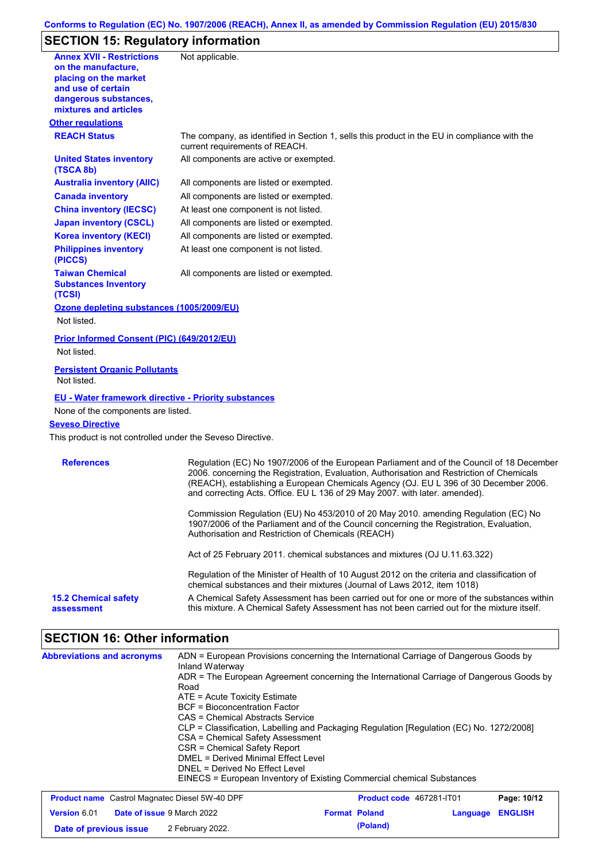## **Conforms to Regulation (EC) No. 1907/2006 (REACH), Annex II, as amended by Commission Regulation (EU) 2015/830**

# **SECTION 15: Regulatory information**

| <b>Annex XVII - Restrictions</b>                                                      |                                                                                                                                                                                                                                                                                                                                                               |
|---------------------------------------------------------------------------------------|---------------------------------------------------------------------------------------------------------------------------------------------------------------------------------------------------------------------------------------------------------------------------------------------------------------------------------------------------------------|
| on the manufacture,                                                                   | Not applicable.                                                                                                                                                                                                                                                                                                                                               |
| placing on the market                                                                 |                                                                                                                                                                                                                                                                                                                                                               |
| and use of certain                                                                    |                                                                                                                                                                                                                                                                                                                                                               |
| dangerous substances,                                                                 |                                                                                                                                                                                                                                                                                                                                                               |
| mixtures and articles                                                                 |                                                                                                                                                                                                                                                                                                                                                               |
| <b>Other regulations</b>                                                              |                                                                                                                                                                                                                                                                                                                                                               |
| <b>REACH Status</b>                                                                   | The company, as identified in Section 1, sells this product in the EU in compliance with the<br>current requirements of REACH.                                                                                                                                                                                                                                |
| <b>United States inventory</b><br>(TSCA 8b)                                           | All components are active or exempted.                                                                                                                                                                                                                                                                                                                        |
| <b>Australia inventory (AIIC)</b>                                                     | All components are listed or exempted.                                                                                                                                                                                                                                                                                                                        |
| <b>Canada inventory</b>                                                               | All components are listed or exempted.                                                                                                                                                                                                                                                                                                                        |
| <b>China inventory (IECSC)</b>                                                        | At least one component is not listed.                                                                                                                                                                                                                                                                                                                         |
| <b>Japan inventory (CSCL)</b>                                                         | All components are listed or exempted.                                                                                                                                                                                                                                                                                                                        |
| <b>Korea inventory (KECI)</b>                                                         | All components are listed or exempted.                                                                                                                                                                                                                                                                                                                        |
| <b>Philippines inventory</b><br>(PICCS)                                               | At least one component is not listed.                                                                                                                                                                                                                                                                                                                         |
| <b>Taiwan Chemical</b><br><b>Substances Inventory</b><br>(TCSI)                       | All components are listed or exempted.                                                                                                                                                                                                                                                                                                                        |
| Ozone depleting substances (1005/2009/EU)                                             |                                                                                                                                                                                                                                                                                                                                                               |
| Not listed.                                                                           |                                                                                                                                                                                                                                                                                                                                                               |
|                                                                                       |                                                                                                                                                                                                                                                                                                                                                               |
| Prior Informed Consent (PIC) (649/2012/EU)                                            |                                                                                                                                                                                                                                                                                                                                                               |
| Not listed.                                                                           |                                                                                                                                                                                                                                                                                                                                                               |
| <b>Persistent Organic Pollutants</b><br>Not listed.                                   |                                                                                                                                                                                                                                                                                                                                                               |
| <b>EU - Water framework directive - Priority substances</b>                           |                                                                                                                                                                                                                                                                                                                                                               |
| None of the components are listed.                                                    |                                                                                                                                                                                                                                                                                                                                                               |
|                                                                                       |                                                                                                                                                                                                                                                                                                                                                               |
| <b>Seveso Directive</b><br>This product is not controlled under the Seveso Directive. |                                                                                                                                                                                                                                                                                                                                                               |
| <b>References</b>                                                                     | Regulation (EC) No 1907/2006 of the European Parliament and of the Council of 18 December<br>2006. concerning the Registration, Evaluation, Authorisation and Restriction of Chemicals<br>(REACH), establishing a European Chemicals Agency (OJ. EU L 396 of 30 December 2006.<br>and correcting Acts. Office. EU L 136 of 29 May 2007. with later. amended). |
|                                                                                       | Commission Regulation (EU) No 453/2010 of 20 May 2010. amending Regulation (EC) No<br>1907/2006 of the Parliament and of the Council concerning the Registration, Evaluation,<br>Authorisation and Restriction of Chemicals (REACH)                                                                                                                           |
|                                                                                       | Act of 25 February 2011. chemical substances and mixtures (OJ U.11.63.322)                                                                                                                                                                                                                                                                                    |
|                                                                                       | Regulation of the Minister of Health of 10 August 2012 on the criteria and classification of<br>chemical substances and their mixtures (Journal of Laws 2012, item 1018)                                                                                                                                                                                      |

# **SECTION 16: Other information**

| <b>Abbreviations and acronyms</b>                     | ADN = European Provisions concerning the International Carriage of Dangerous Goods by<br>Inland Waterway<br>ADR = The European Agreement concerning the International Carriage of Dangerous Goods by<br>Road<br>$ATE = Acute Toxicity Estimate$<br><b>BCF</b> = Bioconcentration Factor<br>CAS = Chemical Abstracts Service<br>CLP = Classification, Labelling and Packaging Regulation [Regulation (EC) No. 1272/2008]<br>CSA = Chemical Safety Assessment<br>CSR = Chemical Safety Report<br>DMFL = Derived Minimal Fffect Level<br>DNEL = Derived No Effect Level<br>EINECS = European Inventory of Existing Commercial chemical Substances |                                 |             |
|-------------------------------------------------------|------------------------------------------------------------------------------------------------------------------------------------------------------------------------------------------------------------------------------------------------------------------------------------------------------------------------------------------------------------------------------------------------------------------------------------------------------------------------------------------------------------------------------------------------------------------------------------------------------------------------------------------------|---------------------------------|-------------|
| <b>Product name</b> Castrol Magnatec Diesel 5W-40 DPF |                                                                                                                                                                                                                                                                                                                                                                                                                                                                                                                                                                                                                                                | <b>Product code</b> 467281-IT01 | Page: 10/12 |

| <b>Product name</b> Castrol Magnatec Diesel 5W-40 DPF |  |                                   | <b>Product code</b> 467281-1101 | Page: 10/12 |                  |  |
|-------------------------------------------------------|--|-----------------------------------|---------------------------------|-------------|------------------|--|
| <b>Version 6.01</b>                                   |  | <b>Date of issue</b> 9 March 2022 | <b>Format Poland</b>            |             | Language ENGLISH |  |
| Date of previous issue                                |  | 2 February 2022.                  |                                 | (Poland)    |                  |  |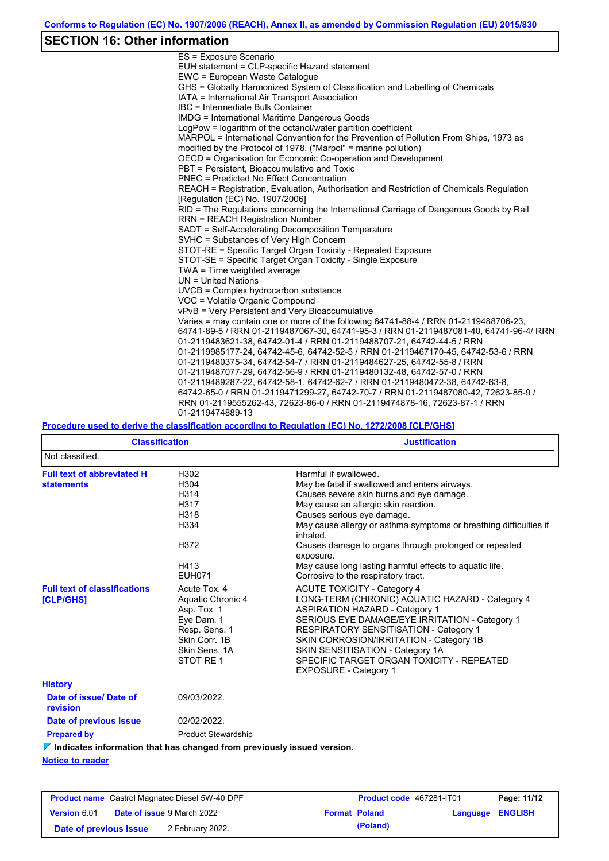# **SECTION 16: Other information**

| ES = Exposure Scenario                                                                  |
|-----------------------------------------------------------------------------------------|
| EUH statement = CLP-specific Hazard statement                                           |
| EWC = European Waste Catalogue                                                          |
| GHS = Globally Harmonized System of Classification and Labelling of Chemicals           |
| IATA = International Air Transport Association                                          |
| IBC = Intermediate Bulk Container                                                       |
| <b>IMDG</b> = International Maritime Dangerous Goods                                    |
| LogPow = logarithm of the octanol/water partition coefficient                           |
| MARPOL = International Convention for the Prevention of Pollution From Ships, 1973 as   |
| modified by the Protocol of 1978. ("Marpol" = marine pollution)                         |
| OECD = Organisation for Economic Co-operation and Development                           |
| PBT = Persistent, Bioaccumulative and Toxic                                             |
| <b>PNEC</b> = Predicted No Effect Concentration                                         |
| REACH = Registration, Evaluation, Authorisation and Restriction of Chemicals Regulation |
| [Regulation (EC) No. 1907/2006]                                                         |
| RID = The Regulations concerning the International Carriage of Dangerous Goods by Rail  |
| <b>RRN = REACH Registration Number</b>                                                  |
| SADT = Self-Accelerating Decomposition Temperature                                      |
| SVHC = Substances of Very High Concern                                                  |
| STOT-RE = Specific Target Organ Toxicity - Repeated Exposure                            |
| STOT-SE = Specific Target Organ Toxicity - Single Exposure                              |
| TWA = Time weighted average                                                             |
| UN = United Nations                                                                     |
| $UVCB = Complex\;hydrocarbon\; substance$                                               |
| VOC = Volatile Organic Compound                                                         |
| vPvB = Very Persistent and Very Bioaccumulative                                         |
| Varies = may contain one or more of the following 64741-88-4 / RRN 01-2119488706-23,    |
| 64741-89-5 / RRN 01-2119487067-30, 64741-95-3 / RRN 01-2119487081-40, 64741-96-4/ RRN   |
| 01-2119483621-38, 64742-01-4 / RRN 01-2119488707-21, 64742-44-5 / RRN                   |
| 01-2119985177-24, 64742-45-6, 64742-52-5 / RRN 01-2119467170-45, 64742-53-6 / RRN       |
| 01-2119480375-34, 64742-54-7 / RRN 01-2119484627-25, 64742-55-8 / RRN                   |
| 01-2119487077-29, 64742-56-9 / RRN 01-2119480132-48, 64742-57-0 / RRN                   |
| 01-2119489287-22, 64742-58-1, 64742-62-7 / RRN 01-2119480472-38, 64742-63-8,            |
| 64742-65-0 / RRN 01-2119471299-27, 64742-70-7 / RRN 01-2119487080-42, 72623-85-9 /      |
| RRN 01-2119555262-43, 72623-86-0 / RRN 01-2119474878-16, 72623-87-1 / RRN               |
| 01-2119474889-13                                                                        |

**Procedure used to derive the classification according to Regulation (EC) No. 1272/2008 [CLP/GHS]**

| <b>Classification</b>                                                           |                                                                                                                                | <b>Justification</b>                                                                                                                                                                                                                                                                                                                                                                                                                              |  |  |
|---------------------------------------------------------------------------------|--------------------------------------------------------------------------------------------------------------------------------|---------------------------------------------------------------------------------------------------------------------------------------------------------------------------------------------------------------------------------------------------------------------------------------------------------------------------------------------------------------------------------------------------------------------------------------------------|--|--|
| Not classified.                                                                 |                                                                                                                                |                                                                                                                                                                                                                                                                                                                                                                                                                                                   |  |  |
| <b>Full text of abbreviated H</b><br><b>statements</b>                          | H302<br>H304<br>H314<br>H317<br>H318<br>H334<br>H372<br>H413<br><b>EUH071</b>                                                  | Harmful if swallowed.<br>May be fatal if swallowed and enters airways.<br>Causes severe skin burns and eye damage.<br>May cause an allergic skin reaction.<br>Causes serious eye damage.<br>May cause allergy or asthma symptoms or breathing difficulties if<br>inhaled.<br>Causes damage to organs through prolonged or repeated<br>exposure.<br>May cause long lasting harmful effects to aquatic life.<br>Corrosive to the respiratory tract. |  |  |
| <b>Full text of classifications</b><br><b>[CLP/GHS]</b>                         | Acute Tox, 4<br>Aquatic Chronic 4<br>Asp. Tox. 1<br>Eye Dam. 1<br>Resp. Sens. 1<br>Skin Corr. 1B<br>Skin Sens, 1A<br>STOT RE 1 | <b>ACUTE TOXICITY - Category 4</b><br>LONG-TERM (CHRONIC) AQUATIC HAZARD - Category 4<br><b>ASPIRATION HAZARD - Category 1</b><br>SERIOUS EYE DAMAGE/EYE IRRITATION - Category 1<br><b>RESPIRATORY SENSITISATION - Category 1</b><br>SKIN CORROSION/IRRITATION - Category 1B<br>SKIN SENSITISATION - Category 1A<br>SPECIFIC TARGET ORGAN TOXICITY - REPEATED<br><b>EXPOSURE - Category 1</b>                                                     |  |  |
| <b>History</b>                                                                  |                                                                                                                                |                                                                                                                                                                                                                                                                                                                                                                                                                                                   |  |  |
| Date of issue/Date of<br>revision                                               | 09/03/2022.                                                                                                                    |                                                                                                                                                                                                                                                                                                                                                                                                                                                   |  |  |
| Date of previous issue                                                          | 02/02/2022.                                                                                                                    |                                                                                                                                                                                                                                                                                                                                                                                                                                                   |  |  |
| <b>Prepared by</b>                                                              | <b>Product Stewardship</b>                                                                                                     |                                                                                                                                                                                                                                                                                                                                                                                                                                                   |  |  |
| $\nabla$ Indicates information that has changed from previously issued version. |                                                                                                                                |                                                                                                                                                                                                                                                                                                                                                                                                                                                   |  |  |
| Madian da sanadas                                                               |                                                                                                                                |                                                                                                                                                                                                                                                                                                                                                                                                                                                   |  |  |

**Notice to reader**

| <b>Product name</b> Castrol Magnatec Diesel 5W-40 DPF |  |                                   | <b>Product code</b> 467281-IT01 | Page: 11/12          |                         |  |
|-------------------------------------------------------|--|-----------------------------------|---------------------------------|----------------------|-------------------------|--|
| <b>Version 6.01</b>                                   |  | <b>Date of issue 9 March 2022</b> |                                 | <b>Format Poland</b> | <b>Language ENGLISH</b> |  |
| Date of previous issue                                |  | 2 February 2022.                  |                                 | (Poland)             |                         |  |